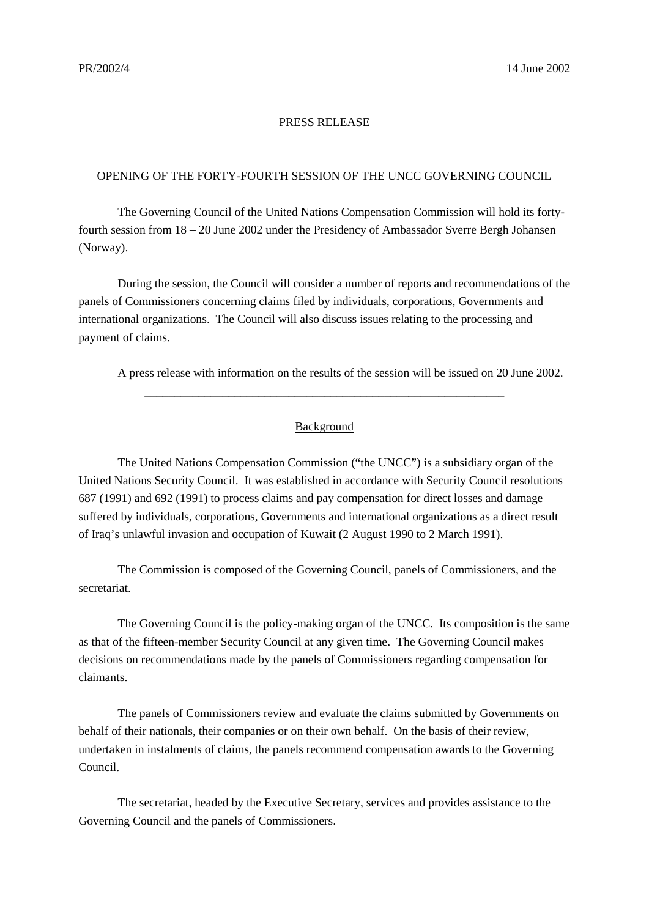## PRESS RELEASE

## OPENING OF THE FORTY-FOURTH SESSION OF THE UNCC GOVERNING COUNCIL

The Governing Council of the United Nations Compensation Commission will hold its fortyfourth session from 18 – 20 June 2002 under the Presidency of Ambassador Sverre Bergh Johansen (Norway).

During the session, the Council will consider a number of reports and recommendations of the panels of Commissioners concerning claims filed by individuals, corporations, Governments and international organizations. The Council will also discuss issues relating to the processing and payment of claims.

A press release with information on the results of the session will be issued on 20 June 2002.

## Background

\_\_\_\_\_\_\_\_\_\_\_\_\_\_\_\_\_\_\_\_\_\_\_\_\_\_\_\_\_\_\_\_\_\_\_\_\_\_\_\_\_\_\_\_\_\_\_\_\_\_\_\_\_\_\_\_\_\_\_\_

The United Nations Compensation Commission ("the UNCC") is a subsidiary organ of the United Nations Security Council. It was established in accordance with Security Council resolutions 687 (1991) and 692 (1991) to process claims and pay compensation for direct losses and damage suffered by individuals, corporations, Governments and international organizations as a direct result of Iraq's unlawful invasion and occupation of Kuwait (2 August 1990 to 2 March 1991).

The Commission is composed of the Governing Council, panels of Commissioners, and the secretariat.

The Governing Council is the policy-making organ of the UNCC. Its composition is the same as that of the fifteen-member Security Council at any given time. The Governing Council makes decisions on recommendations made by the panels of Commissioners regarding compensation for claimants.

The panels of Commissioners review and evaluate the claims submitted by Governments on behalf of their nationals, their companies or on their own behalf. On the basis of their review, undertaken in instalments of claims, the panels recommend compensation awards to the Governing Council.

The secretariat, headed by the Executive Secretary, services and provides assistance to the Governing Council and the panels of Commissioners.